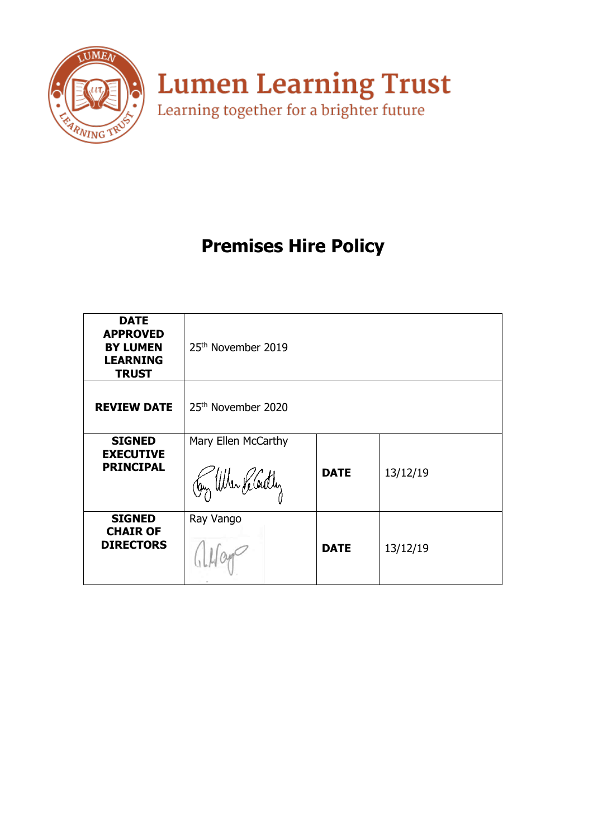

**Lumen Learning Trust**<br>Learning together for a brighter future

# **Premises Hire Policy**

| <b>DATE</b><br><b>APPROVED</b><br><b>BY LUMEN</b><br><b>LEARNING</b><br><b>TRUST</b> | 25 <sup>th</sup> November 2019            |             |          |
|--------------------------------------------------------------------------------------|-------------------------------------------|-------------|----------|
| <b>REVIEW DATE</b>                                                                   | 25th November 2020                        |             |          |
| <b>SIGNED</b><br><b>EXECUTIVE</b><br><b>PRINCIPAL</b>                                | Mary Ellen McCarthy<br>Jay When He Cently | <b>DATE</b> | 13/12/19 |
| <b>SIGNED</b><br><b>CHAIR OF</b><br><b>DIRECTORS</b>                                 | Ray Vango                                 | <b>DATE</b> | 13/12/19 |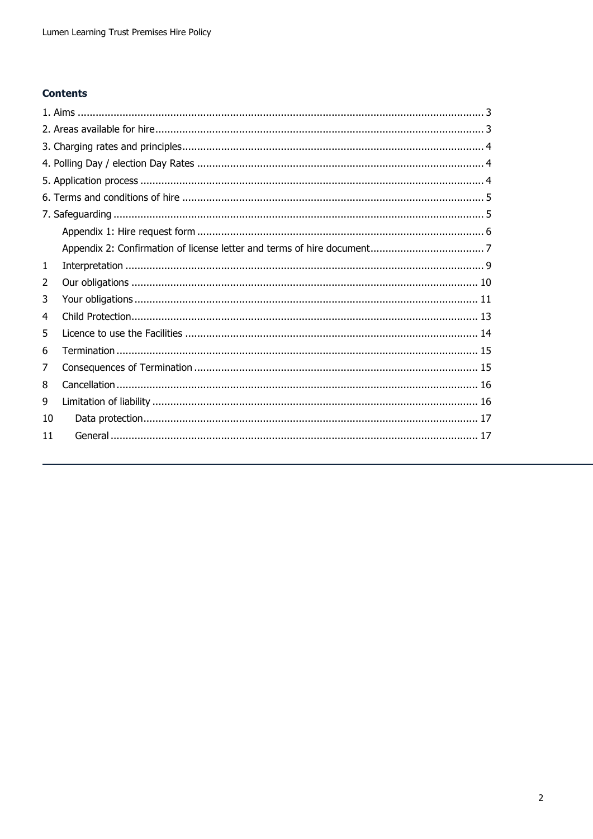# **Contents**

| 1  |  |
|----|--|
| 2  |  |
| 3  |  |
| 4  |  |
| 5  |  |
| 6  |  |
| 7  |  |
| 8  |  |
| 9  |  |
| 10 |  |
| 11 |  |
|    |  |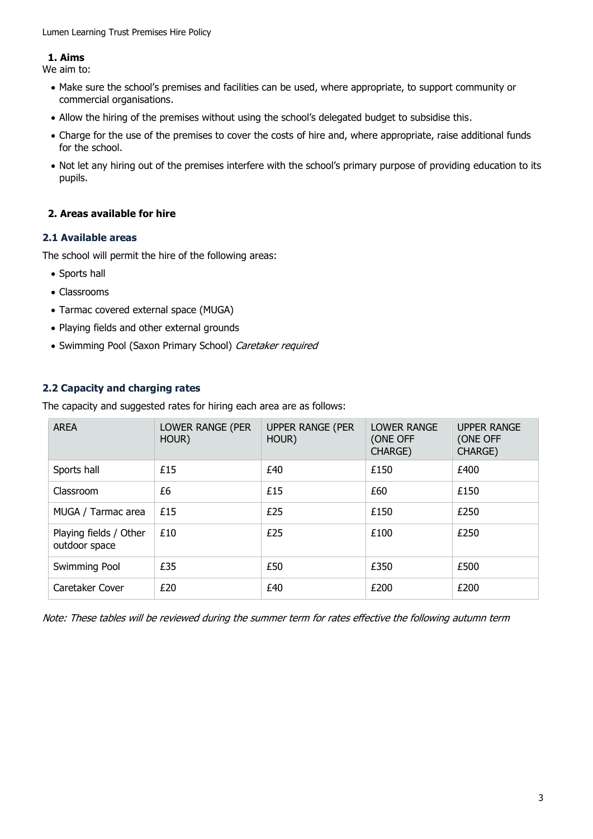# <span id="page-2-0"></span>**1. Aims**

We aim to:

- Make sure the school's premises and facilities can be used, where appropriate, to support community or commercial organisations.
- Allow the hiring of the premises without using the school's delegated budget to subsidise this.
- Charge for the use of the premises to cover the costs of hire and, where appropriate, raise additional funds for the school.
- Not let any hiring out of the premises interfere with the school's primary purpose of providing education to its pupils.

# <span id="page-2-1"></span>**2. Areas available for hire**

# **2.1 Available areas**

The school will permit the hire of the following areas:

- Sports hall
- Classrooms
- Tarmac covered external space (MUGA)
- Playing fields and other external grounds
- Swimming Pool (Saxon Primary School) Caretaker required

# **2.2 Capacity and charging rates**

The capacity and suggested rates for hiring each area are as follows:

| <b>AREA</b>                             | LOWER RANGE (PER<br>HOUR) | <b>UPPER RANGE (PER</b><br>HOUR) | LOWER RANGE<br>(ONE OFF<br><b>CHARGE)</b> | <b>UPPER RANGE</b><br>(ONE OFF<br>CHARGE) |
|-----------------------------------------|---------------------------|----------------------------------|-------------------------------------------|-------------------------------------------|
| Sports hall                             | £15                       | £40                              | £150                                      | £400                                      |
| Classroom                               | £6                        | £15                              | £60                                       | £150                                      |
| MUGA / Tarmac area                      | £15                       | £25                              | £150                                      | £250                                      |
| Playing fields / Other<br>outdoor space | £10                       | £25                              | £100                                      | £250                                      |
| Swimming Pool                           | £35                       | £50                              | £350                                      | £500                                      |
| Caretaker Cover                         | £20                       | £40                              | £200                                      | £200                                      |

Note: These tables will be reviewed during the summer term for rates effective the following autumn term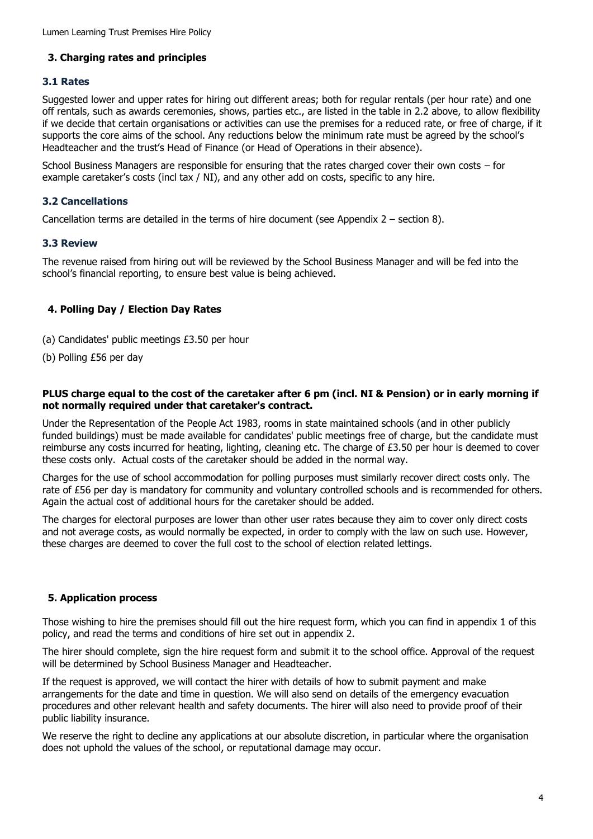# <span id="page-3-0"></span>**3. Charging rates and principles**

## **3.1 Rates**

Suggested lower and upper rates for hiring out different areas; both for regular rentals (per hour rate) and one off rentals, such as awards ceremonies, shows, parties etc., are listed in the table in 2.2 above, to allow flexibility if we decide that certain organisations or activities can use the premises for a reduced rate, or free of charge, if it supports the core aims of the school. Any reductions below the minimum rate must be agreed by the school's Headteacher and the trust's Head of Finance (or Head of Operations in their absence).

School Business Managers are responsible for ensuring that the rates charged cover their own costs – for example caretaker's costs (incl tax / NI), and any other add on costs, specific to any hire.

# **3.2 Cancellations**

Cancellation terms are detailed in the terms of hire document (see Appendix 2 – section 8).

#### **3.3 Review**

The revenue raised from hiring out will be reviewed by the School Business Manager and will be fed into the school's financial reporting, to ensure best value is being achieved.

## <span id="page-3-1"></span>**4. Polling Day / Election Day Rates**

- (a) Candidates' public meetings £3.50 per hour
- (b) Polling £56 per day

#### **PLUS charge equal to the cost of the caretaker after 6 pm (incl. NI & Pension) or in early morning if not normally required under that caretaker's contract.**

Under the Representation of the People Act 1983, rooms in state maintained schools (and in other publicly funded buildings) must be made available for candidates' public meetings free of charge, but the candidate must reimburse any costs incurred for heating, lighting, cleaning etc. The charge of £3.50 per hour is deemed to cover these costs only. Actual costs of the caretaker should be added in the normal way.

Charges for the use of school accommodation for polling purposes must similarly recover direct costs only. The rate of £56 per day is mandatory for community and voluntary controlled schools and is recommended for others. Again the actual cost of additional hours for the caretaker should be added.

The charges for electoral purposes are lower than other user rates because they aim to cover only direct costs and not average costs, as would normally be expected, in order to comply with the law on such use. However, these charges are deemed to cover the full cost to the school of election related lettings.

#### <span id="page-3-2"></span>**5. Application process**

Those wishing to hire the premises should fill out the hire request form, which you can find in appendix 1 of this policy, and read the terms and conditions of hire set out in appendix 2.

The hirer should complete, sign the hire request form and submit it to the school office. Approval of the request will be determined by School Business Manager and Headteacher.

If the request is approved, we will contact the hirer with details of how to submit payment and make arrangements for the date and time in question. We will also send on details of the emergency evacuation procedures and other relevant health and safety documents. The hirer will also need to provide proof of their public liability insurance.

We reserve the right to decline any applications at our absolute discretion, in particular where the organisation does not uphold the values of the school, or reputational damage may occur.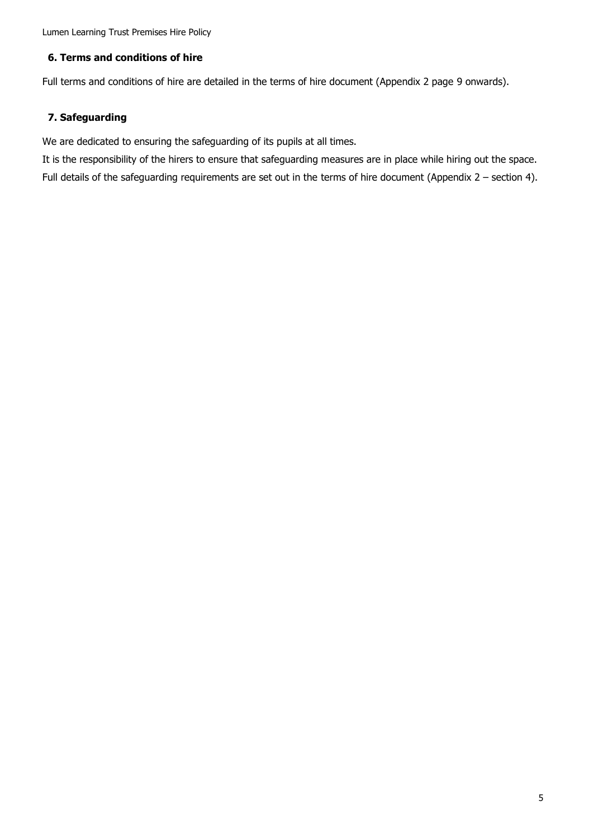Lumen Learning Trust Premises Hire Policy

# <span id="page-4-0"></span>**6. Terms and conditions of hire**

Full terms and conditions of hire are detailed in the terms of hire document (Appendix 2 page 9 onwards).

# <span id="page-4-1"></span>**7. Safeguarding**

We are dedicated to ensuring the safeguarding of its pupils at all times.

It is the responsibility of the hirers to ensure that safeguarding measures are in place while hiring out the space. Full details of the safeguarding requirements are set out in the terms of hire document (Appendix 2 – section 4).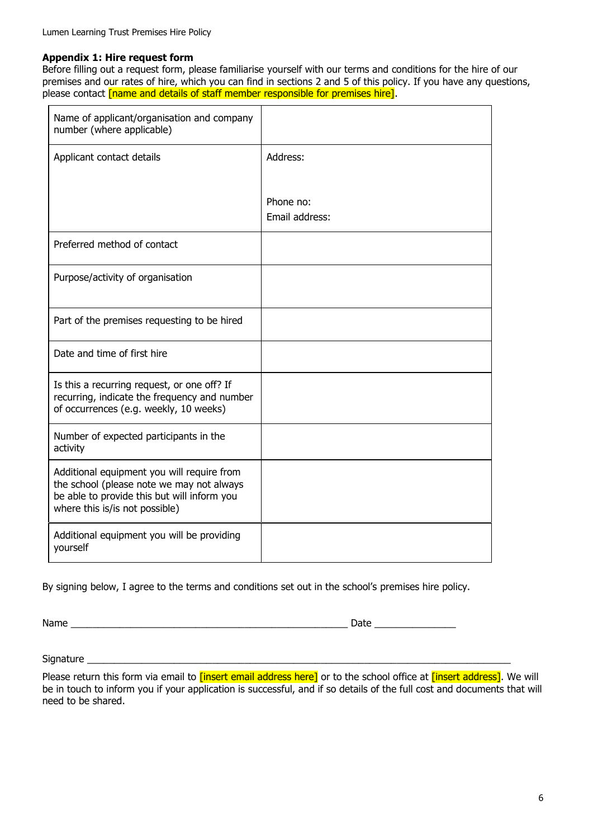#### <span id="page-5-0"></span>**Appendix 1: Hire request form**

Before filling out a request form, please familiarise yourself with our terms and conditions for the hire of our premises and our rates of hire, which you can find in sections 2 and 5 of this policy. If you have any questions, please contact [name and details of staff member responsible for premises hire].

| Name of applicant/organisation and company<br>number (where applicable)                                                                                                  |                             |
|--------------------------------------------------------------------------------------------------------------------------------------------------------------------------|-----------------------------|
| Applicant contact details                                                                                                                                                | Address:                    |
|                                                                                                                                                                          | Phone no:<br>Email address: |
| Preferred method of contact                                                                                                                                              |                             |
| Purpose/activity of organisation                                                                                                                                         |                             |
| Part of the premises requesting to be hired                                                                                                                              |                             |
| Date and time of first hire                                                                                                                                              |                             |
| Is this a recurring request, or one off? If<br>recurring, indicate the frequency and number<br>of occurrences (e.g. weekly, 10 weeks)                                    |                             |
| Number of expected participants in the<br>activity                                                                                                                       |                             |
| Additional equipment you will require from<br>the school (please note we may not always<br>be able to provide this but will inform you<br>where this is/is not possible) |                             |
| Additional equipment you will be providing<br>yourself                                                                                                                   |                             |

By signing below, I agree to the terms and conditions set out in the school's premises hire policy.

Name \_\_\_\_\_\_\_\_\_\_\_\_\_\_\_\_\_\_\_\_\_\_\_\_\_\_\_\_\_\_\_\_\_\_\_\_\_\_\_\_\_\_\_\_\_\_\_\_\_\_\_ Date \_\_\_\_\_\_\_\_\_\_\_\_\_\_\_

Signature \_\_\_\_\_\_\_\_\_\_\_\_\_\_\_\_\_\_\_\_\_\_\_\_\_\_\_\_\_\_\_\_\_\_\_\_\_\_\_\_\_\_\_\_\_\_\_\_\_\_\_\_\_\_\_\_\_\_\_\_\_\_\_\_\_\_\_\_\_\_\_\_\_\_\_\_\_\_

Please return this form via email to *[insert email address here]* or to the school office at *[insert address]*. We will be in touch to inform you if your application is successful, and if so details of the full cost and documents that will need to be shared.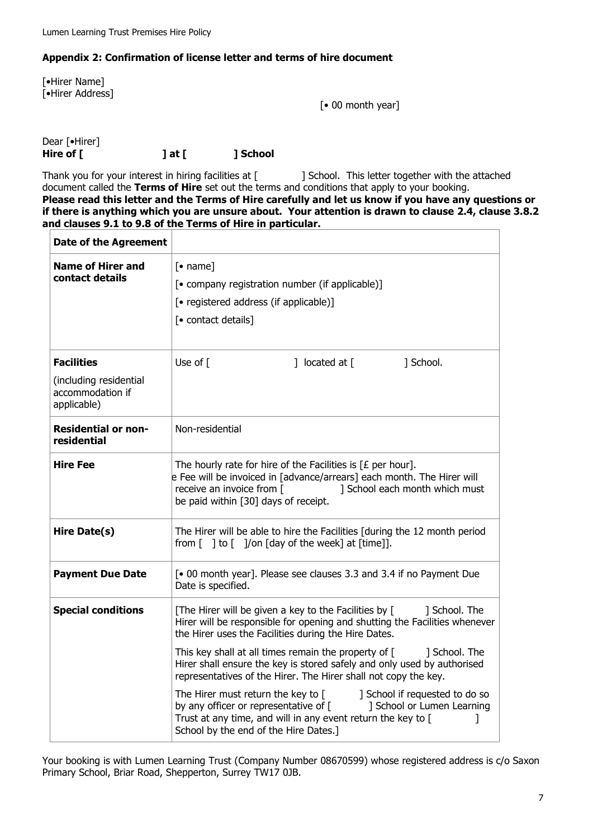# <span id="page-6-0"></span>**Appendix 2: Confirmation of license letter and terms of hire document**

[•Hirer Name] [•Hirer Address]

[• 00 month year]

Dear [•Hirer] Hire of [ **] at [ ] School** 

Thank you for your interest in hiring facilities at [ ] School. This letter together with the attached document called the **Terms of Hire** set out the terms and conditions that apply to your booking. **Please read this letter and the Terms of Hire carefully and let us know if you have any questions or if there is anything which you are unsure about. Your attention is drawn to clause [2.4,](#page-9-1) clause [3.8.2](#page-10-1) and clauses [9.1](#page-15-2) to [9.8](#page-16-2) of the Terms of Hire in particular.** 

| <b>Date of the Agreement</b>                                    |                                                                                                                                                                                                                                                      |  |
|-----------------------------------------------------------------|------------------------------------------------------------------------------------------------------------------------------------------------------------------------------------------------------------------------------------------------------|--|
| <b>Name of Hirer and</b><br>contact details                     | $\lceil \bullet \text{ name} \rceil$<br>[• company registration number (if applicable)]<br>[• registered address (if applicable)]<br>[• contact details]                                                                                             |  |
| <b>Facilities</b><br>(including residential<br>accommodation if | Use of $\lceil$<br>] located at $\lceil$<br>] School.                                                                                                                                                                                                |  |
| applicable)                                                     |                                                                                                                                                                                                                                                      |  |
| <b>Residential or non-</b><br>residential                       | Non-residential                                                                                                                                                                                                                                      |  |
| <b>Hire Fee</b>                                                 | The hourly rate for hire of the Facilities is $[E$ per hour].<br>e Fee will be invoiced in [advance/arrears] each month. The Hirer will<br>receive an invoice from [<br>] School each month which must<br>be paid within [30] days of receipt.       |  |
| Hire Date(s)                                                    | The Hirer will be able to hire the Facilities [during the 12 month period<br>from $\lceil \ \rceil$ to $\lceil \ \rceil$ /on $\lceil \frac{1}{q} \rceil$ of the week $\lceil \ \text{at} \ \lceil \frac{1}{t} \rceil$ .                              |  |
| <b>Payment Due Date</b>                                         | [• 00 month year]. Please see clauses 3.3 and 3.4 if no Payment Due<br>Date is specified.                                                                                                                                                            |  |
| <b>Special conditions</b>                                       | [The Hirer will be given a key to the Facilities by [<br>] School. The<br>Hirer will be responsible for opening and shutting the Facilities whenever<br>the Hirer uses the Facilities during the Hire Dates.                                         |  |
|                                                                 | This key shall at all times remain the property of [<br>] School. The<br>Hirer shall ensure the key is stored safely and only used by authorised<br>representatives of the Hirer. The Hirer shall not copy the key.                                  |  |
|                                                                 | The Hirer must return the key to [<br>] School if requested to do so<br>by any officer or representative of [<br>] School or Lumen Learning<br>Trust at any time, and will in any event return the key to [<br>School by the end of the Hire Dates.] |  |

Your booking is with Lumen Learning Trust (Company Number 08670599) whose registered address is c/o Saxon Primary School, Briar Road, Shepperton, Surrey TW17 0JB.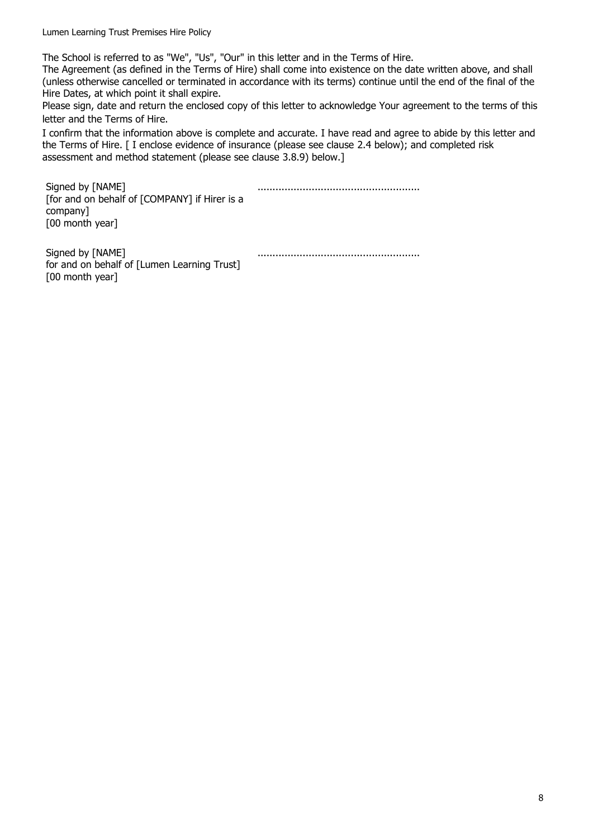Lumen Learning Trust Premises Hire Policy

The School is referred to as "We", "Us", "Our" in this letter and in the Terms of Hire.

The Agreement (as defined in the Terms of Hire) shall come into existence on the date written above, and shall (unless otherwise cancelled or terminated in accordance with its terms) continue until the end of the final of the Hire Dates, at which point it shall expire.

Please sign, date and return the enclosed copy of this letter to acknowledge Your agreement to the terms of this letter and the Terms of Hire.

I confirm that the information above is complete and accurate. I have read and agree to abide by this letter and the Terms of Hire. [ I enclose evidence of insurance (please see clause [2.4](#page-9-1) below); and completed risk assessment and method statement (please see clause [3.8.9\)](#page-11-0) below.]

Signed by [NAME] [for and on behalf of [COMPANY] if Hirer is a company] [00 month year] ...................................................... Signed by [NAME] ......................................................

for and on behalf of [Lumen Learning Trust] [00 month year]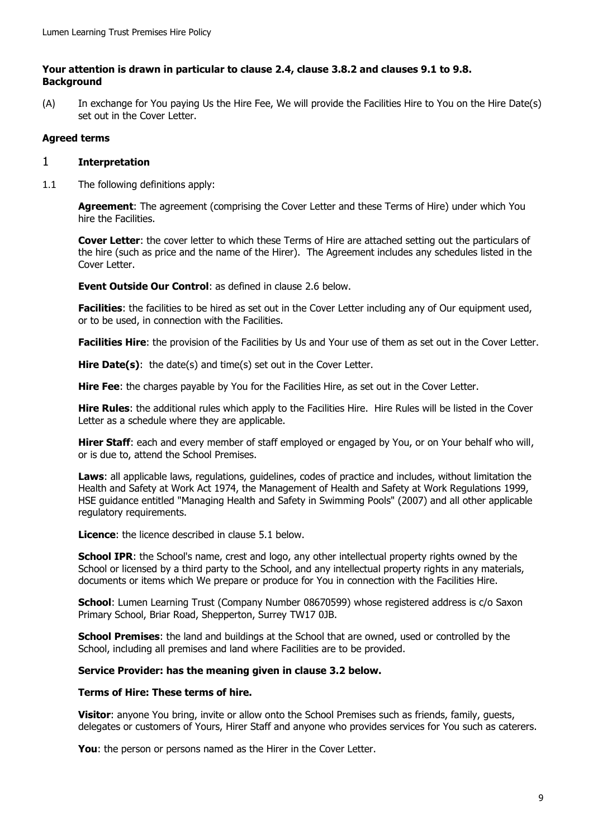#### **Your attention is drawn in particular to clause [2.4,](#page-9-1) clause [3.8.2](#page-10-1) and clauses [9.1](#page-15-2) to [9.8.](#page-16-2) Background**

(A) In exchange for You paying Us the Hire Fee, We will provide the Facilities Hire to You on the Hire Date(s) set out in the Cover Letter.

# **Agreed terms**

## <span id="page-8-0"></span>1 **Interpretation**

1.1 The following definitions apply:

**Agreement**: The agreement (comprising the Cover Letter and these Terms of Hire) under which You hire the Facilities.

**Cover Letter**: the cover letter to which these Terms of Hire are attached setting out the particulars of the hire (such as price and the name of the Hirer). The Agreement includes any schedules listed in the Cover Letter.

**Event Outside Our Control**: as defined in clause [2.6](#page-9-2) below.

**Facilities**: the facilities to be hired as set out in the Cover Letter including any of Our equipment used, or to be used, in connection with the Facilities.

**Facilities Hire**: the provision of the Facilities by Us and Your use of them as set out in the Cover Letter.

Hire Date(s): the date(s) and time(s) set out in the Cover Letter.

**Hire Fee**: the charges payable by You for the Facilities Hire, as set out in the Cover Letter.

**Hire Rules**: the additional rules which apply to the Facilities Hire. Hire Rules will be listed in the Cover Letter as a schedule where they are applicable.

**Hirer Staff**: each and every member of staff employed or engaged by You, or on Your behalf who will, or is due to, attend the School Premises.

**Laws**: all applicable laws, regulations, guidelines, codes of practice and includes, without limitation the Health and Safety at Work Act 1974, the Management of Health and Safety at Work Regulations 1999, HSE guidance entitled "Managing Health and Safety in Swimming Pools" (2007) and all other applicable regulatory requirements.

**Licence**: the licence described in clause [5.1](#page-13-1) [below.](#page-13-1)

**School IPR:** the School's name, crest and logo, any other intellectual property rights owned by the School or licensed by a third party to the School, and any intellectual property rights in any materials, documents or items which We prepare or produce for You in connection with the Facilities Hire.

**School**: Lumen Learning Trust (Company Number 08670599) whose registered address is c/o Saxon Primary School, Briar Road, Shepperton, Surrey TW17 0JB.

**School Premises**: the land and buildings at the School that are owned, used or controlled by the School, including all premises and land where Facilities are to be provided.

#### **Service Provider: has the meaning given in clause [3.2](#page-10-4) below.**

#### **Terms of Hire: These terms of hire.**

**Visitor**: anyone You bring, invite or allow onto the School Premises such as friends, family, guests, delegates or customers of Yours, Hirer Staff and anyone who provides services for You such as caterers.

**You**: the person or persons named as the Hirer in the Cover Letter.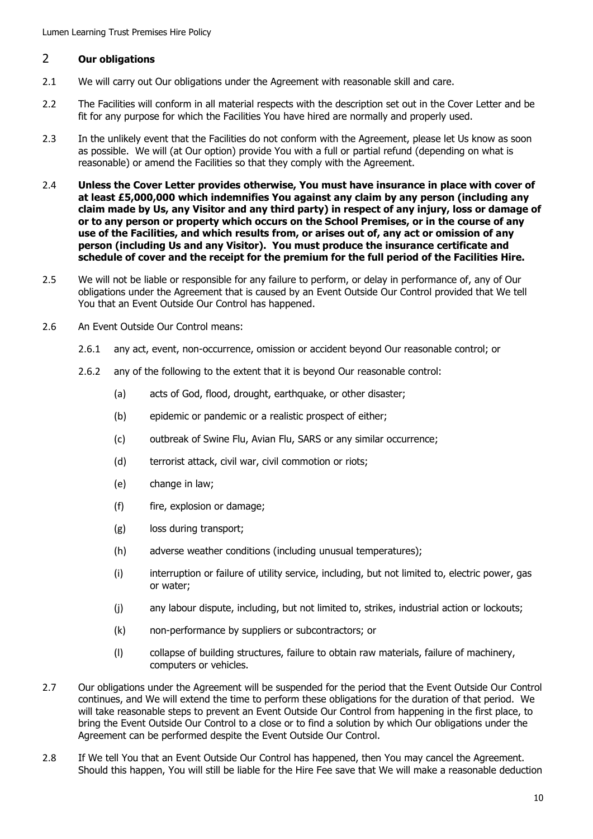# <span id="page-9-0"></span>2 **Our obligations**

- 2.1 We will carry out Our obligations under the Agreement with reasonable skill and care.
- 2.2 The Facilities will conform in all material respects with the description set out in the Cover Letter and be fit for any purpose for which the Facilities You have hired are normally and properly used.
- 2.3 In the unlikely event that the Facilities do not conform with the Agreement, please let Us know as soon as possible. We will (at Our option) provide You with a full or partial refund (depending on what is reasonable) or amend the Facilities so that they comply with the Agreement.
- <span id="page-9-1"></span>2.4 **Unless the Cover Letter provides otherwise, You must have insurance in place with cover of at least £5,000,000 which indemnifies You against any claim by any person (including any claim made by Us, any Visitor and any third party) in respect of any injury, loss or damage of or to any person or property which occurs on the School Premises, or in the course of any use of the Facilities, and which results from, or arises out of, any act or omission of any person (including Us and any Visitor). You must produce the insurance certificate and schedule of cover and the receipt for the premium for the full period of the Facilities Hire.**
- 2.5 We will not be liable or responsible for any failure to perform, or delay in performance of, any of Our obligations under the Agreement that is caused by an Event Outside Our Control provided that We tell You that an Event Outside Our Control has happened.
- <span id="page-9-2"></span>2.6 An Event Outside Our Control means:
	- 2.6.1 any act, event, non-occurrence, omission or accident beyond Our reasonable control; or
	- 2.6.2 any of the following to the extent that it is beyond Our reasonable control:
		- (a) acts of God, flood, drought, earthquake, or other disaster;
		- (b) epidemic or pandemic or a realistic prospect of either;
		- (c) outbreak of Swine Flu, Avian Flu, SARS or any similar occurrence;
		- (d) terrorist attack, civil war, civil commotion or riots;
		- (e) change in law;
		- (f) fire, explosion or damage;
		- (g) loss during transport;
		- (h) adverse weather conditions (including unusual temperatures);
		- (i) interruption or failure of utility service, including, but not limited to, electric power, gas or water;
		- (j) any labour dispute, including, but not limited to, strikes, industrial action or lockouts;
		- (k) non-performance by suppliers or subcontractors; or
		- (l) collapse of building structures, failure to obtain raw materials, failure of machinery, computers or vehicles.
- 2.7 Our obligations under the Agreement will be suspended for the period that the Event Outside Our Control continues, and We will extend the time to perform these obligations for the duration of that period. We will take reasonable steps to prevent an Event Outside Our Control from happening in the first place, to bring the Event Outside Our Control to a close or to find a solution by which Our obligations under the Agreement can be performed despite the Event Outside Our Control.
- 2.8 If We tell You that an Event Outside Our Control has happened, then You may cancel the Agreement. Should this happen, You will still be liable for the Hire Fee save that We will make a reasonable deduction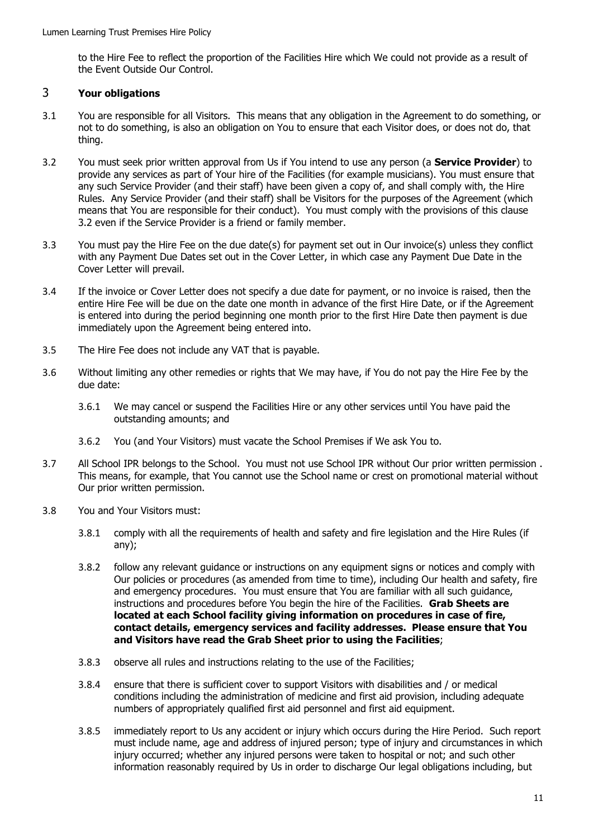to the Hire Fee to reflect the proportion of the Facilities Hire which We could not provide as a result of the Event Outside Our Control.

# <span id="page-10-0"></span>3 **Your obligations**

- 3.1 You are responsible for all Visitors. This means that any obligation in the Agreement to do something, or not to do something, is also an obligation on You to ensure that each Visitor does, or does not do, that thing.
- <span id="page-10-4"></span>3.2 You must seek prior written approval from Us if You intend to use any person (a **Service Provider**) to provide any services as part of Your hire of the Facilities (for example musicians). You must ensure that any such Service Provider (and their staff) have been given a copy of, and shall comply with, the Hire Rules. Any Service Provider (and their staff) shall be Visitors for the purposes of the Agreement (which means that You are responsible for their conduct). You must comply with the provisions of this clause [3.2](#page-10-4) even if the Service Provider is a friend or family member.
- <span id="page-10-2"></span>3.3 You must pay the Hire Fee on the due date(s) for payment set out in Our invoice(s) unless they conflict with any Payment Due Dates set out in the Cover Letter, in which case any Payment Due Date in the Cover Letter will prevail.
- <span id="page-10-3"></span>3.4 If the invoice or Cover Letter does not specify a due date for payment, or no invoice is raised, then the entire Hire Fee will be due on the date one month in advance of the first Hire Date, or if the Agreement is entered into during the period beginning one month prior to the first Hire Date then payment is due immediately upon the Agreement being entered into.
- 3.5 The Hire Fee does not include any VAT that is payable.
- 3.6 Without limiting any other remedies or rights that We may have, if You do not pay the Hire Fee by the due date:
	- 3.6.1 We may cancel or suspend the Facilities Hire or any other services until You have paid the outstanding amounts; and
	- 3.6.2 You (and Your Visitors) must vacate the School Premises if We ask You to.
- 3.7 All School IPR belongs to the School. You must not use School IPR without Our prior written permission . This means, for example, that You cannot use the School name or crest on promotional material without Our prior written permission.
- <span id="page-10-1"></span>3.8 You and Your Visitors must:
	- 3.8.1 comply with all the requirements of health and safety and fire legislation and the Hire Rules (if any);
	- 3.8.2 follow any relevant guidance or instructions on any equipment signs or notices and comply with Our policies or procedures (as amended from time to time), including Our health and safety, fire and emergency procedures. You must ensure that You are familiar with all such guidance, instructions and procedures before You begin the hire of the Facilities. **Grab Sheets are located at each School facility giving information on procedures in case of fire, contact details, emergency services and facility addresses. Please ensure that You and Visitors have read the Grab Sheet prior to using the Facilities**;
	- 3.8.3 observe all rules and instructions relating to the use of the Facilities;
	- 3.8.4 ensure that there is sufficient cover to support Visitors with disabilities and / or medical conditions including the administration of medicine and first aid provision, including adequate numbers of appropriately qualified first aid personnel and first aid equipment.
	- 3.8.5 immediately report to Us any accident or injury which occurs during the Hire Period. Such report must include name, age and address of injured person; type of injury and circumstances in which injury occurred; whether any injured persons were taken to hospital or not; and such other information reasonably required by Us in order to discharge Our legal obligations including, but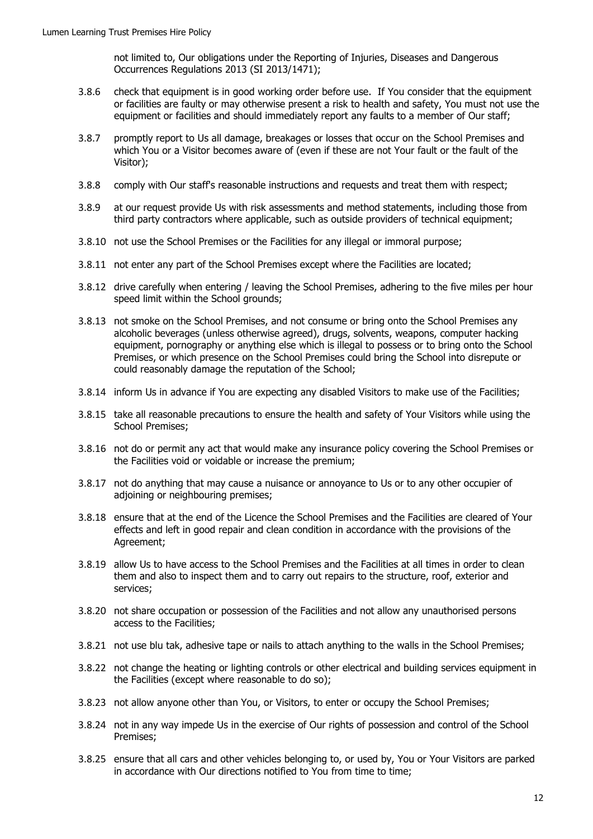not limited to, Our obligations under the Reporting of Injuries, Diseases and Dangerous Occurrences Regulations 2013 (SI 2013/1471);

- 3.8.6 check that equipment is in good working order before use. If You consider that the equipment or facilities are faulty or may otherwise present a risk to health and safety, You must not use the equipment or facilities and should immediately report any faults to a member of Our staff;
- 3.8.7 promptly report to Us all damage, breakages or losses that occur on the School Premises and which You or a Visitor becomes aware of (even if these are not Your fault or the fault of the Visitor);
- 3.8.8 comply with Our staff's reasonable instructions and requests and treat them with respect;
- <span id="page-11-0"></span>3.8.9 at our request provide Us with risk assessments and method statements, including those from third party contractors where applicable, such as outside providers of technical equipment;
- 3.8.10 not use the School Premises or the Facilities for any illegal or immoral purpose;
- 3.8.11 not enter any part of the School Premises except where the Facilities are located;
- 3.8.12 drive carefully when entering / leaving the School Premises, adhering to the five miles per hour speed limit within the School grounds;
- 3.8.13 not smoke on the School Premises, and not consume or bring onto the School Premises any alcoholic beverages (unless otherwise agreed), drugs, solvents, weapons, computer hacking equipment, pornography or anything else which is illegal to possess or to bring onto the School Premises, or which presence on the School Premises could bring the School into disrepute or could reasonably damage the reputation of the School;
- 3.8.14 inform Us in advance if You are expecting any disabled Visitors to make use of the Facilities;
- 3.8.15 take all reasonable precautions to ensure the health and safety of Your Visitors while using the School Premises;
- 3.8.16 not do or permit any act that would make any insurance policy covering the School Premises or the Facilities void or voidable or increase the premium;
- 3.8.17 not do anything that may cause a nuisance or annoyance to Us or to any other occupier of adjoining or neighbouring premises;
- 3.8.18 ensure that at the end of the Licence the School Premises and the Facilities are cleared of Your effects and left in good repair and clean condition in accordance with the provisions of the Agreement;
- 3.8.19 allow Us to have access to the School Premises and the Facilities at all times in order to clean them and also to inspect them and to carry out repairs to the structure, roof, exterior and services;
- 3.8.20 not share occupation or possession of the Facilities and not allow any unauthorised persons access to the Facilities;
- 3.8.21 not use blu tak, adhesive tape or nails to attach anything to the walls in the School Premises;
- 3.8.22 not change the heating or lighting controls or other electrical and building services equipment in the Facilities (except where reasonable to do so);
- 3.8.23 not allow anyone other than You, or Visitors, to enter or occupy the School Premises;
- 3.8.24 not in any way impede Us in the exercise of Our rights of possession and control of the School Premises;
- 3.8.25 ensure that all cars and other vehicles belonging to, or used by, You or Your Visitors are parked in accordance with Our directions notified to You from time to time;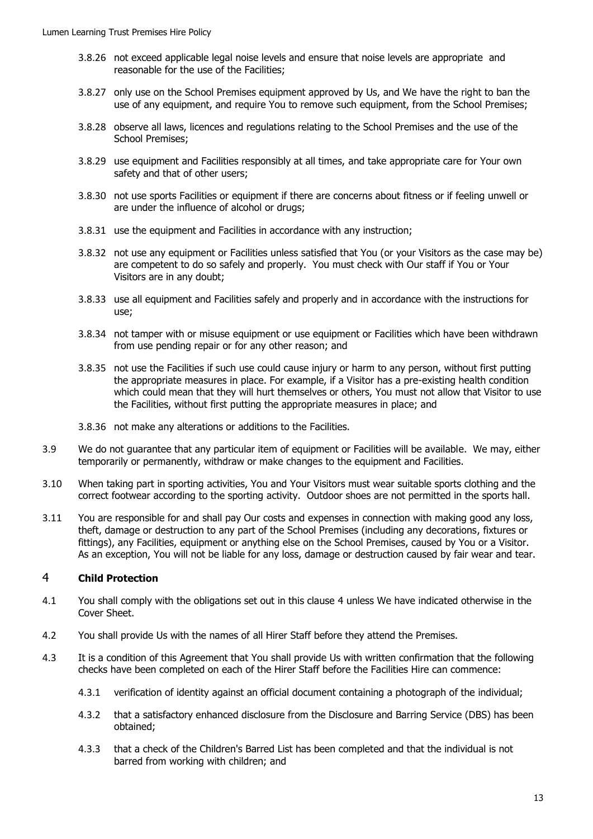- 3.8.26 not exceed applicable legal noise levels and ensure that noise levels are appropriate and reasonable for the use of the Facilities;
- 3.8.27 only use on the School Premises equipment approved by Us, and We have the right to ban the use of any equipment, and require You to remove such equipment, from the School Premises;
- 3.8.28 observe all laws, licences and regulations relating to the School Premises and the use of the School Premises;
- 3.8.29 use equipment and Facilities responsibly at all times, and take appropriate care for Your own safety and that of other users;
- 3.8.30 not use sports Facilities or equipment if there are concerns about fitness or if feeling unwell or are under the influence of alcohol or drugs;
- 3.8.31 use the equipment and Facilities in accordance with any instruction;
- 3.8.32 not use any equipment or Facilities unless satisfied that You (or your Visitors as the case may be) are competent to do so safely and properly. You must check with Our staff if You or Your Visitors are in any doubt;
- 3.8.33 use all equipment and Facilities safely and properly and in accordance with the instructions for use;
- 3.8.34 not tamper with or misuse equipment or use equipment or Facilities which have been withdrawn from use pending repair or for any other reason; and
- 3.8.35 not use the Facilities if such use could cause injury or harm to any person, without first putting the appropriate measures in place. For example, if a Visitor has a pre-existing health condition which could mean that they will hurt themselves or others, You must not allow that Visitor to use the Facilities, without first putting the appropriate measures in place; and
- 3.8.36 not make any alterations or additions to the Facilities.
- 3.9 We do not guarantee that any particular item of equipment or Facilities will be available. We may, either temporarily or permanently, withdraw or make changes to the equipment and Facilities.
- 3.10 When taking part in sporting activities, You and Your Visitors must wear suitable sports clothing and the correct footwear according to the sporting activity. Outdoor shoes are not permitted in the sports hall.
- 3.11 You are responsible for and shall pay Our costs and expenses in connection with making good any loss, theft, damage or destruction to any part of the School Premises (including any decorations, fixtures or fittings), any Facilities, equipment or anything else on the School Premises, caused by You or a Visitor. As an exception, You will not be liable for any loss, damage or destruction caused by fair wear and tear.

# <span id="page-12-0"></span>4 **Child Protection**

- 4.1 You shall comply with the obligations set out in this clause [4](#page-12-0) unless We have indicated otherwise in the Cover Sheet.
- 4.2 You shall provide Us with the names of all Hirer Staff before they attend the Premises.
- 4.3 It is a condition of this Agreement that You shall provide Us with written confirmation that the following checks have been completed on each of the Hirer Staff before the Facilities Hire can commence:
	- 4.3.1 verification of identity against an official document containing a photograph of the individual;
	- 4.3.2 that a satisfactory enhanced disclosure from the Disclosure and Barring Service (DBS) has been obtained;
	- 4.3.3 that a check of the Children's Barred List has been completed and that the individual is not barred from working with children; and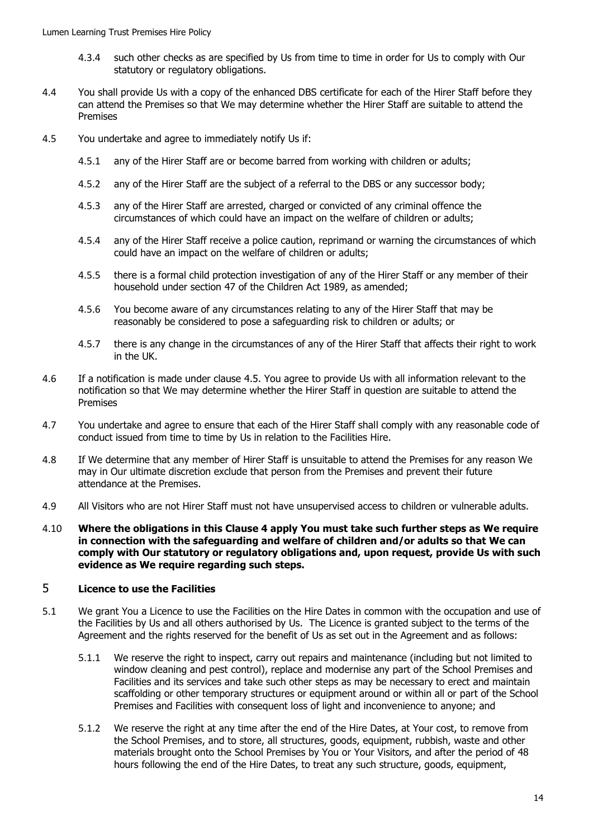- 4.3.4 such other checks as are specified by Us from time to time in order for Us to comply with Our statutory or regulatory obligations.
- 4.4 You shall provide Us with a copy of the enhanced DBS certificate for each of the Hirer Staff before they can attend the Premises so that We may determine whether the Hirer Staff are suitable to attend the Premises
- <span id="page-13-2"></span>4.5 You undertake and agree to immediately notify Us if:
	- 4.5.1 any of the Hirer Staff are or become barred from working with children or adults;
	- 4.5.2 any of the Hirer Staff are the subject of a referral to the DBS or any successor body;
	- 4.5.3 any of the Hirer Staff are arrested, charged or convicted of any criminal offence the circumstances of which could have an impact on the welfare of children or adults;
	- 4.5.4 any of the Hirer Staff receive a police caution, reprimand or warning the circumstances of which could have an impact on the welfare of children or adults;
	- 4.5.5 there is a formal child protection investigation of any of the Hirer Staff or any member of their household under section 47 of the Children Act 1989, as amended;
	- 4.5.6 You become aware of any circumstances relating to any of the Hirer Staff that may be reasonably be considered to pose a safeguarding risk to children or adults; or
	- 4.5.7 there is any change in the circumstances of any of the Hirer Staff that affects their right to work in the UK.
- 4.6 If a notification is made under clause [4.5.](#page-13-2) You agree to provide Us with all information relevant to the notification so that We may determine whether the Hirer Staff in question are suitable to attend the Premises
- 4.7 You undertake and agree to ensure that each of the Hirer Staff shall comply with any reasonable code of conduct issued from time to time by Us in relation to the Facilities Hire.
- 4.8 If We determine that any member of Hirer Staff is unsuitable to attend the Premises for any reason We may in Our ultimate discretion exclude that person from the Premises and prevent their future attendance at the Premises.
- 4.9 All Visitors who are not Hirer Staff must not have unsupervised access to children or vulnerable adults.
- 4.10 **Where the obligations in this Clause 4 apply You must take such further steps as We require in connection with the safeguarding and welfare of children and/or adults so that We can comply with Our statutory or regulatory obligations and, upon request, provide Us with such evidence as We require regarding such steps.**

# <span id="page-13-0"></span>5 **Licence to use the Facilities**

- <span id="page-13-1"></span>5.1 We grant You a Licence to use the Facilities on the Hire Dates in common with the occupation and use of the Facilities by Us and all others authorised by Us. The Licence is granted subject to the terms of the Agreement and the rights reserved for the benefit of Us as set out in the Agreement and as follows:
	- 5.1.1 We reserve the right to inspect, carry out repairs and maintenance (including but not limited to window cleaning and pest control), replace and modernise any part of the School Premises and Facilities and its services and take such other steps as may be necessary to erect and maintain scaffolding or other temporary structures or equipment around or within all or part of the School Premises and Facilities with consequent loss of light and inconvenience to anyone; and
	- 5.1.2 We reserve the right at any time after the end of the Hire Dates, at Your cost, to remove from the School Premises, and to store, all structures, goods, equipment, rubbish, waste and other materials brought onto the School Premises by You or Your Visitors, and after the period of 48 hours following the end of the Hire Dates, to treat any such structure, goods, equipment,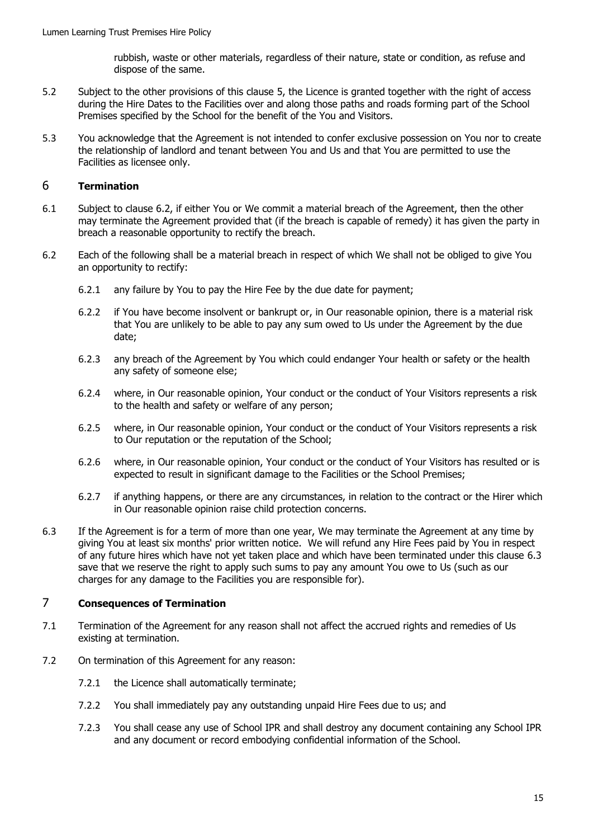rubbish, waste or other materials, regardless of their nature, state or condition, as refuse and dispose of the same.

- 5.2 Subject to the other provisions of this clause [5,](#page-13-0) the Licence is granted together with the right of access during the Hire Dates to the Facilities over and along those paths and roads forming part of the School Premises specified by the School for the benefit of the You and Visitors.
- 5.3 You acknowledge that the Agreement is not intended to confer exclusive possession on You nor to create the relationship of landlord and tenant between You and Us and that You are permitted to use the Facilities as licensee only.

# <span id="page-14-0"></span>6 **Termination**

- 6.1 Subject to clause [6.2,](#page-14-2) if either You or We commit a material breach of the Agreement, then the other may terminate the Agreement provided that (if the breach is capable of remedy) it has given the party in breach a reasonable opportunity to rectify the breach.
- <span id="page-14-2"></span>6.2 Each of the following shall be a material breach in respect of which We shall not be obliged to give You an opportunity to rectify:
	- 6.2.1 any failure by You to pay the Hire Fee by the due date for payment;
	- 6.2.2 if You have become insolvent or bankrupt or, in Our reasonable opinion, there is a material risk that You are unlikely to be able to pay any sum owed to Us under the Agreement by the due date;
	- 6.2.3 any breach of the Agreement by You which could endanger Your health or safety or the health any safety of someone else;
	- 6.2.4 where, in Our reasonable opinion, Your conduct or the conduct of Your Visitors represents a risk to the health and safety or welfare of any person;
	- 6.2.5 where, in Our reasonable opinion, Your conduct or the conduct of Your Visitors represents a risk to Our reputation or the reputation of the School;
	- 6.2.6 where, in Our reasonable opinion, Your conduct or the conduct of Your Visitors has resulted or is expected to result in significant damage to the Facilities or the School Premises;
	- 6.2.7 if anything happens, or there are any circumstances, in relation to the contract or the Hirer which in Our reasonable opinion raise child protection concerns.
- <span id="page-14-3"></span>6.3 If the Agreement is for a term of more than one year, We may terminate the Agreement at any time by giving You at least six months' prior written notice. We will refund any Hire Fees paid by You in respect of any future hires which have not yet taken place and which have been terminated under this clause [6.3](#page-14-3) save that we reserve the right to apply such sums to pay any amount You owe to Us (such as our charges for any damage to the Facilities you are responsible for).

### <span id="page-14-1"></span>7 **Consequences of Termination**

- 7.1 Termination of the Agreement for any reason shall not affect the accrued rights and remedies of Us existing at termination.
- 7.2 On termination of this Agreement for any reason:
	- 7.2.1 the Licence shall automatically terminate;
	- 7.2.2 You shall immediately pay any outstanding unpaid Hire Fees due to us; and
	- 7.2.3 You shall cease any use of School IPR and shall destroy any document containing any School IPR and any document or record embodying confidential information of the School.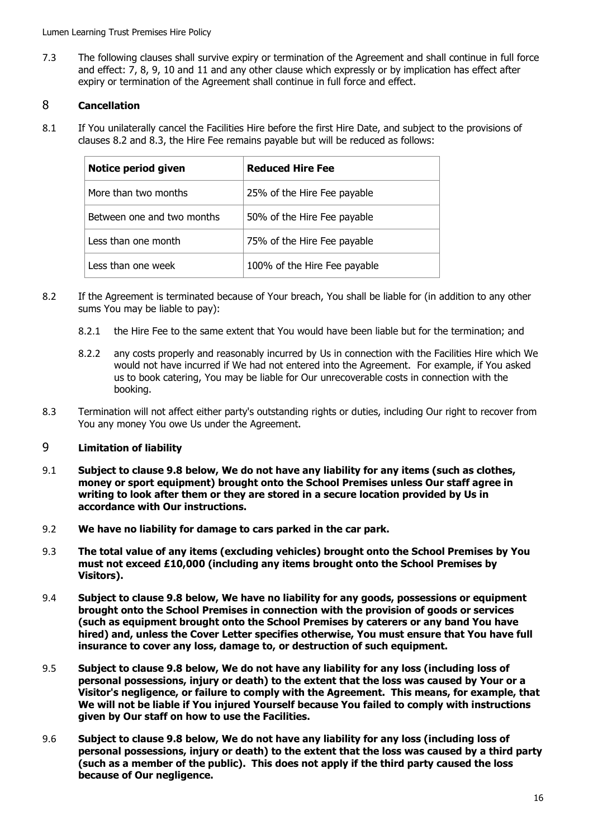Lumen Learning Trust Premises Hire Policy

7.3 The following clauses shall survive expiry or termination of the Agreement and shall continue in full force and effect: [7,](#page-14-1) [8,](#page-15-0) [9,](#page-15-1) [10](#page-16-0) and [11](#page-16-1) and any other clause which expressly or by implication has effect after expiry or termination of the Agreement shall continue in full force and effect.

# <span id="page-15-0"></span>8 **Cancellation**

8.1 If You unilaterally cancel the Facilities Hire before the first Hire Date, and subject to the provisions of clauses [8.2](#page-15-3) and [8.3,](#page-15-4) the Hire Fee remains payable but will be reduced as follows:

| Notice period given        | <b>Reduced Hire Fee</b>      |
|----------------------------|------------------------------|
| More than two months       | 25% of the Hire Fee payable  |
| Between one and two months | 50% of the Hire Fee payable  |
| Less than one month        | 75% of the Hire Fee payable  |
| Less than one week         | 100% of the Hire Fee payable |

- <span id="page-15-3"></span>8.2 If the Agreement is terminated because of Your breach, You shall be liable for (in addition to any other sums You may be liable to pay):
	- 8.2.1 the Hire Fee to the same extent that You would have been liable but for the termination; and
	- 8.2.2 any costs properly and reasonably incurred by Us in connection with the Facilities Hire which We would not have incurred if We had not entered into the Agreement. For example, if You asked us to book catering, You may be liable for Our unrecoverable costs in connection with the booking.
- <span id="page-15-4"></span>8.3 Termination will not affect either party's outstanding rights or duties, including Our right to recover from You any money You owe Us under the Agreement.

# <span id="page-15-1"></span>9 **Limitation of liability**

- <span id="page-15-2"></span>9.1 **Subject to clause [9.8](#page-16-2) [below,](#page-16-2) We do not have any liability for any items (such as clothes, money or sport equipment) brought onto the School Premises unless Our staff agree in writing to look after them or they are stored in a secure location provided by Us in accordance with Our instructions.**
- 9.2 **We have no liability for damage to cars parked in the car park.**
- 9.3 **The total value of any items (excluding vehicles) brought onto the School Premises by You must not exceed £10,000 (including any items brought onto the School Premises by Visitors).**
- 9.4 **Subject to clause [9.8](#page-16-2) [below,](#page-16-2) We have no liability for any goods, possessions or equipment brought onto the School Premises in connection with the provision of goods or services (such as equipment brought onto the School Premises by caterers or any band You have hired) and, unless the Cover Letter specifies otherwise, You must ensure that You have full insurance to cover any loss, damage to, or destruction of such equipment.**
- 9.5 **Subject to clause [9.8](#page-16-2) [below,](#page-16-2) We do not have any liability for any loss (including loss of personal possessions, injury or death) to the extent that the loss was caused by Your or a Visitor's negligence, or failure to comply with the Agreement. This means, for example, that We will not be liable if You injured Yourself because You failed to comply with instructions given by Our staff on how to use the Facilities.**
- 9.6 **Subject to clause [9.8](#page-16-2) [below,](#page-16-2) We do not have any liability for any loss (including loss of personal possessions, injury or death) to the extent that the loss was caused by a third party (such as a member of the public). This does not apply if the third party caused the loss because of Our negligence.**